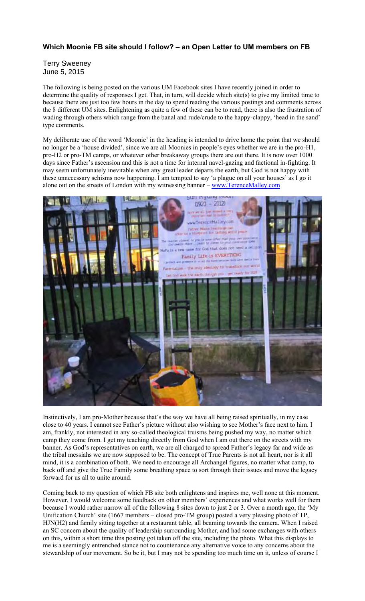## **Which Moonie FB site should I follow? – an Open Letter to UM members on FB**

Terry Sweeney June 5, 2015

The following is being posted on the various UM Facebook sites I have recently joined in order to determine the quality of responses I get. That, in turn, will decide which site(s) to give my limited time to because there are just too few hours in the day to spend reading the various postings and comments across the 8 different UM sites. Enlightening as quite a few of these can be to read, there is also the frustration of wading through others which range from the banal and rude/crude to the happy-clappy, 'head in the sand' type comments.

My deliberate use of the word 'Moonie' in the heading is intended to drive home the point that we should no longer be a 'house divided', since we are all Moonies in people's eyes whether we are in the pro-H1, pro-H2 or pro-TM camps, or whatever other breakaway groups there are out there. It is now over 1000 days since Father's ascension and this is not a time for internal navel-gazing and factional in-fighting. It may seem unfortunately inevitable when any great leader departs the earth, but God is not happy with these unnecessary schisms now happening. I am tempted to say 'a plague on all your houses' as I go it alone out on the streets of London with my witnessing banner - www.TerenceMalley.com



Instinctively, I am pro-Mother because that's the way we have all being raised spiritually, in my case close to 40 years. I cannot see Father's picture without also wishing to see Mother's face next to him. I am, frankly, not interested in any so-called theological truisms being pushed my way, no matter which camp they come from. I get my teaching directly from God when I am out there on the streets with my banner. As God's representatives on earth, we are all charged to spread Father's legacy far and wide as the tribal messiahs we are now supposed to be. The concept of True Parents is not all heart, nor is it all mind, it is a combination of both. We need to encourage all Archangel figures, no matter what camp, to back off and give the True Family some breathing space to sort through their issues and move the legacy forward for us all to unite around.

Coming back to my question of which FB site both enlightens and inspires me, well none at this moment. However, I would welcome some feedback on other members' experiences and what works well for them because I would rather narrow all of the following 8 sites down to just 2 or 3. Over a month ago, the 'My Unification Church' site (1667 members – closed pro-TM group) posted a very pleasing photo of TP, HJN(H2) and family sitting together at a restaurant table, all beaming towards the camera. When I raised an SC concern about the quality of leadership surrounding Mother, and had some exchanges with others on this, within a short time this posting got taken off the site, including the photo. What this displays to me is a seemingly entrenched stance not to countenance any alternative voice to any concerns about the stewardship of our movement. So be it, but I may not be spending too much time on it, unless of course I